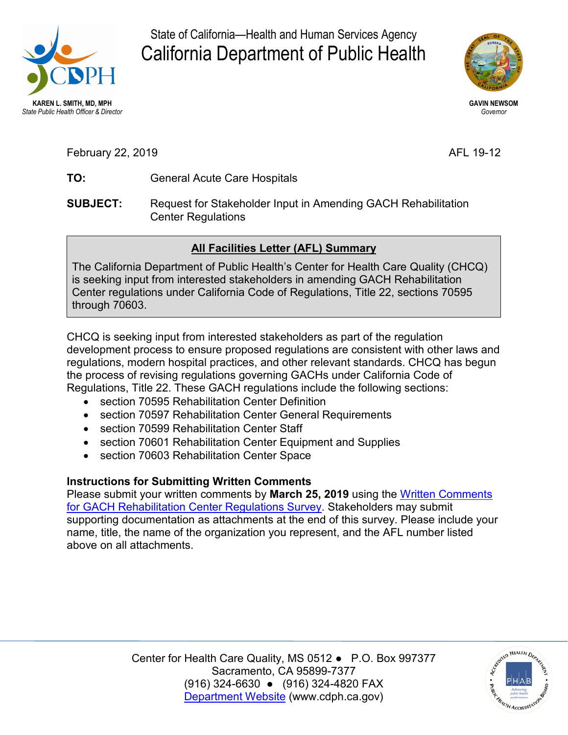

State of California—Health and Human Services Agency California Department of Public Health



**GAVIN NEWSOM**  *Governor* 

AFL 19-12

- TO: February 22, 2 **TO:** <sup>019</sup> General Acute Care Hospitals
- **SUBJECT:** Request for Stakeholder Input in Amending GACH Rehabilitation Center Regulations

## **All Facilities Letter (AFL) Summary**

The California Department of Public Health's Center for Health Care Quality (CHCQ) is seeking input from interested stakeholders in amending GACH Rehabilitation Center regulations under California Code of Regulations, Title 22, sections 70595 through 70603.

 CHCQ is seeking input from interested stakeholders as part of the regulation Regulations, Title 22. These GACH regulations include the following sections: development process to ensure proposed regulations are consistent with other laws and regulations, modern hospital practices, and other relevant standards. CHCQ has begun the process of revising regulations governing GACHs under California Code of

- section 70595 Rehabilitation Center Definition
- section 70597 Rehabilitation Center General Requirements
- section 70599 Rehabilitation Center Staff
- section 70601 Rehabilitation Center Equipment and Supplies
- section 70603 Rehabilitation Center Space

## **Instructions for Submitting Written Comments**

 Please submit your written comments by **March 25, 2019** using the [Written Comments](https://www.surveymonkey.com/r/JR3X727)  [for GACH Rehabilitation Center Regulations Survey.](https://www.surveymonkey.com/r/JR3X727) Stakeholders may submit name, title, the name of the organization you represent, and the AFL number listed supporting documentation as attachments at the end of this survey. Please include your above on all attachments.